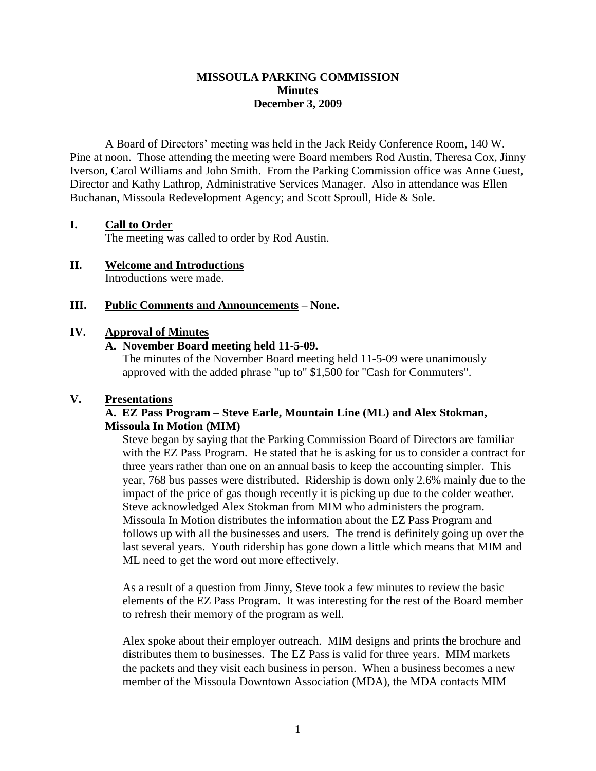### **MISSOULA PARKING COMMISSION Minutes December 3, 2009**

A Board of Directors' meeting was held in the Jack Reidy Conference Room, 140 W. Pine at noon. Those attending the meeting were Board members Rod Austin, Theresa Cox, Jinny Iverson, Carol Williams and John Smith. From the Parking Commission office was Anne Guest, Director and Kathy Lathrop, Administrative Services Manager. Also in attendance was Ellen Buchanan, Missoula Redevelopment Agency; and Scott Sproull, Hide & Sole.

### **I. Call to Order**

The meeting was called to order by Rod Austin.

**II. Welcome and Introductions** Introductions were made.

### **III. Public Comments and Announcements – None.**

#### **IV. Approval of Minutes**

### **A. November Board meeting held 11-5-09.**

The minutes of the November Board meeting held 11-5-09 were unanimously approved with the added phrase "up to" \$1,500 for "Cash for Commuters".

### **V. Presentations**

### **A. EZ Pass Program – Steve Earle, Mountain Line (ML) and Alex Stokman, Missoula In Motion (MIM)**

Steve began by saying that the Parking Commission Board of Directors are familiar with the EZ Pass Program. He stated that he is asking for us to consider a contract for three years rather than one on an annual basis to keep the accounting simpler. This year, 768 bus passes were distributed. Ridership is down only 2.6% mainly due to the impact of the price of gas though recently it is picking up due to the colder weather. Steve acknowledged Alex Stokman from MIM who administers the program. Missoula In Motion distributes the information about the EZ Pass Program and follows up with all the businesses and users. The trend is definitely going up over the last several years. Youth ridership has gone down a little which means that MIM and ML need to get the word out more effectively.

As a result of a question from Jinny, Steve took a few minutes to review the basic elements of the EZ Pass Program. It was interesting for the rest of the Board member to refresh their memory of the program as well.

Alex spoke about their employer outreach. MIM designs and prints the brochure and distributes them to businesses. The EZ Pass is valid for three years. MIM markets the packets and they visit each business in person. When a business becomes a new member of the Missoula Downtown Association (MDA), the MDA contacts MIM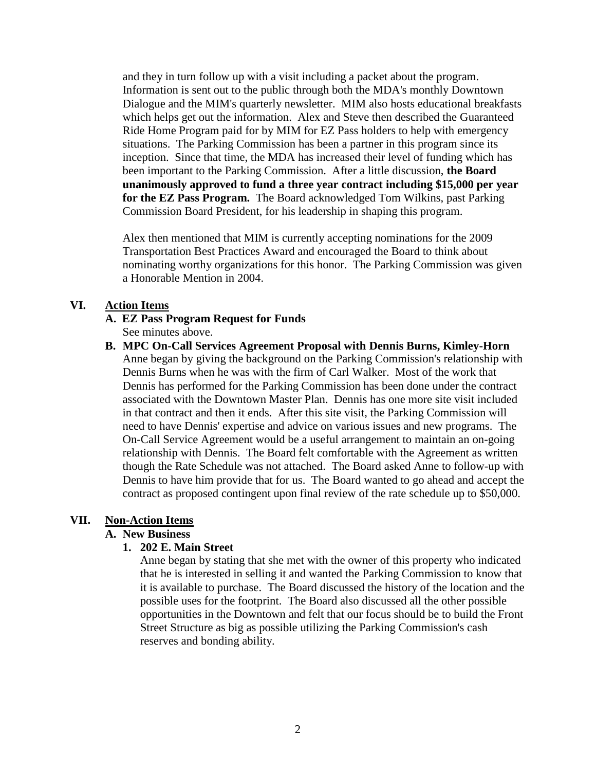and they in turn follow up with a visit including a packet about the program. Information is sent out to the public through both the MDA's monthly Downtown Dialogue and the MIM's quarterly newsletter. MIM also hosts educational breakfasts which helps get out the information. Alex and Steve then described the Guaranteed Ride Home Program paid for by MIM for EZ Pass holders to help with emergency situations. The Parking Commission has been a partner in this program since its inception. Since that time, the MDA has increased their level of funding which has been important to the Parking Commission. After a little discussion, **the Board unanimously approved to fund a three year contract including \$15,000 per year for the EZ Pass Program.** The Board acknowledged Tom Wilkins, past Parking Commission Board President, for his leadership in shaping this program.

Alex then mentioned that MIM is currently accepting nominations for the 2009 Transportation Best Practices Award and encouraged the Board to think about nominating worthy organizations for this honor. The Parking Commission was given a Honorable Mention in 2004.

# **VI. Action Items**

#### **A. EZ Pass Program Request for Funds** See minutes above.

**B. MPC On-Call Services Agreement Proposal with Dennis Burns, Kimley-Horn** Anne began by giving the background on the Parking Commission's relationship with Dennis Burns when he was with the firm of Carl Walker. Most of the work that Dennis has performed for the Parking Commission has been done under the contract associated with the Downtown Master Plan. Dennis has one more site visit included in that contract and then it ends. After this site visit, the Parking Commission will need to have Dennis' expertise and advice on various issues and new programs. The On-Call Service Agreement would be a useful arrangement to maintain an on-going relationship with Dennis. The Board felt comfortable with the Agreement as written though the Rate Schedule was not attached. The Board asked Anne to follow-up with Dennis to have him provide that for us. The Board wanted to go ahead and accept the contract as proposed contingent upon final review of the rate schedule up to \$50,000.

### **VII. Non-Action Items**

# **A. New Business**

### **1. 202 E. Main Street**

Anne began by stating that she met with the owner of this property who indicated that he is interested in selling it and wanted the Parking Commission to know that it is available to purchase. The Board discussed the history of the location and the possible uses for the footprint. The Board also discussed all the other possible opportunities in the Downtown and felt that our focus should be to build the Front Street Structure as big as possible utilizing the Parking Commission's cash reserves and bonding ability.